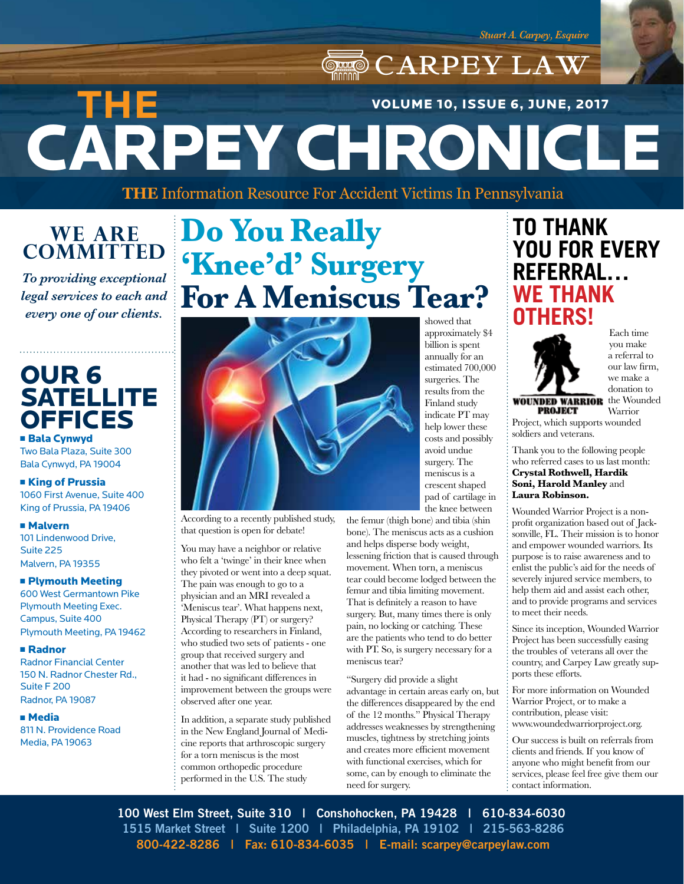## CARPEY LAW CARPEY CHRONICLE **THE**  VOLUME 10, ISSUE 6, JUNE, 2017

**THE** Information Resource For Accident Victims In Pennsylvania

### **WE ARE COMMITTED**

*To providing exceptional legal services to each and every one of our clients.*

## OUR 6 **SATELLITE OFFICES**

**Bala Cynwyd** Two Bala Plaza, Suite 300 Bala Cynwyd, PA 19004

#### **EXIDE OF Prussia** 1060 First Avenue, Suite 400

King of Prussia, PA 19406

<sup>n</sup> Malvern 101 Lindenwood Drive, Suite 225 Malvern, PA 19355

#### **n Plymouth Meeting**

600 West Germantown Pike Plymouth Meeting Exec. Campus, Suite 400 Plymouth Meeting, PA 19462

#### <sup>n</sup> Radnor

Radnor Financial Center 150 N. Radnor Chester Rd., Suite F 200 Radnor, PA 19087

#### <sup>n</sup> Media

811 N. Providence Road Media, PA 19063

## **Do You Really 'Knee'd' Surgery For A Meniscus Tear?**



According to a recently published study, that question is open for debate!

You may have a neighbor or relative who felt a 'twinge' in their knee when they pivoted or went into a deep squat. The pain was enough to go to a physician and an MRI revealed a 'Meniscus tear'. What happens next, Physical Therapy (PT) or surgery? According to researchers in Finland, who studied two sets of patients - one group that received surgery and another that was led to believe that it had - no significant differences in improvement between the groups were observed after one year.

In addition, a separate study published in the New England Journal of Medicine reports that arthroscopic surgery for a torn meniscus is the most common orthopedic procedure performed in the U.S. The study

showed that approximately \$4 billion is spent annually for an estimated 700,000 surgeries. The results from the Finland study indicate PT may help lower these costs and possibly avoid undue surgery. The meniscus is a crescent shaped pad of cartilage in the knee between

the femur (thigh bone) and tibia (shin bone). The meniscus acts as a cushion and helps disperse body weight, lessening friction that is caused through movement. When torn, a meniscus tear could become lodged between the femur and tibia limiting movement. That is definitely a reason to have surgery. But, many times there is only pain, no locking or catching. These are the patients who tend to do better with PT. So, is surgery necessary for a meniscus tear?

"Surgery did provide a slight advantage in certain areas early on, but the differences disappeared by the end of the 12 months." Physical Therapy addresses weaknesses by strengthening muscles, tightness by stretching joints and creates more efficient movement with functional exercises, which for some, can by enough to eliminate the need for surgery.

### **TO THANK YOU FOR EVERY REFERRAL… WE THANK OTHERS!**



Each time you make a referral to our law firm, we make a donation to

**WOUNDED WARRIOR** the Wounded **PROJECT** 

Warrior Project, which supports wounded soldiers and veterans.

Thank you to the following people who referred cases to us last month: **Crystal Rothwell, Hardik Soni, Harold Manley** and **Laura Robinson.**

Wounded Warrior Project is a nonprofit organization based out of Jacksonville, FL. Their mission is to honor and empower wounded warriors. Its purpose is to raise awareness and to enlist the public's aid for the needs of severely injured service members, to help them aid and assist each other, and to provide programs and services to meet their needs.

Since its inception, Wounded Warrior Project has been successfully easing the troubles of veterans all over the country, and Carpey Law greatly supports these efforts.

For more information on Wounded Warrior Project, or to make a contribution, please visit: www.woundedwarriorproject.org.

Our success is built on referrals from clients and friends. If you know of anyone who might benefit from our services, please feel free give them our contact information.

**100 West Elm Street, Suite 310 | Conshohocken, PA 19428 | 610-834-6030 1515 Market Street | Suite 1200 | Philadelphia, PA 19102 | 215-563-8286 800-422-8286 | Fax: 610-834-6035 | E-mail: scarpey@carpeylaw.com**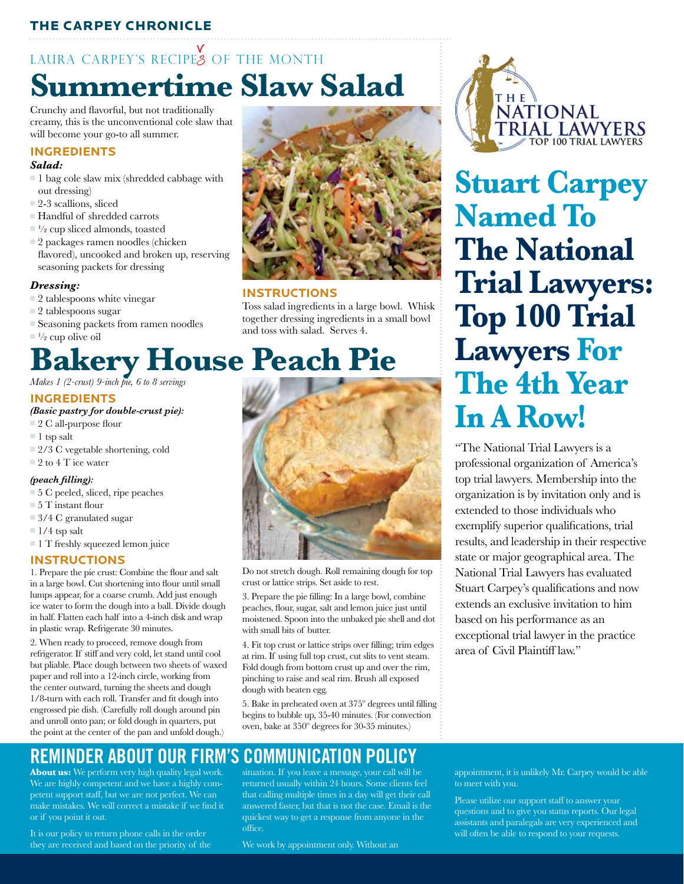### THE CARPEY CHRONICLE

## **Summertime Slaw Salad**  LAURA CARPEY'S RECIPES OF THE MONTH

Crunchy and flavorful, but not traditionally creamy, this is the unconventional cole slaw that will become your go-to all summer.

#### **INGREDIENTS**

#### *Salad:*

- $\blacksquare$  1 bag cole slaw mix (shredded cabbage with out dressing)
- $\Box$  2-3 scallions, sliced
- $\blacksquare$  <br> Handful of shredded carrots
- $\Box^{1/2}$  cup sliced almonds, toasted
- $\square$  2 packages ramen noodles (chicken flavored), uncooked and broken up, reserving seasoning packets for dressing

#### *Dressing:*

- $\square$  2 tablespoons white vinegar
- $\Box$  2 tablespoons sugar
- <sup>n</sup> Seasoning packets from ramen noodles
- $\Box$ <sup>1</sup>/<sub>2</sub> cup olive oil

# **Bakery House Peach Pie**

#### **INGREDIENTS**

#### *(Basic pastry for double-crust pie):*

- $\Box$  2 C all-purpose flour
- $\blacksquare$  1 tsp salt
- $\Box$  2/3 C vegetable shortening, cold
- $\equiv$  2 to 4 T ice water

#### *(peach filling):*

- $\Box$  5 C peeled, sliced, ripe peaches
- $= 5$  T instant flour
- $\Box$  3/4 C granulated sugar
- $\blacksquare$  1/4 tsp salt
- $\blacksquare$  1 T freshly squeezed lemon juice

#### **INSTRUCTIONS**

1. Prepare the pie crust: Combine the flour and salt in a large bowl. Cut shortening into flour until small lumps appear, for a coarse crumb. Add just enough ice water to form the dough into a ball. Divide dough in half. Flatten each half into a 4-inch disk and wrap in plastic wrap. Refrigerate 30 minutes.

2. When ready to proceed, remove dough from refrigerator. If stiff and very cold, let stand until cool but pliable. Place dough between two sheets of waxed paper and roll into a 12-inch circle, working from the center outward, turning the sheets and dough 1/8-turn with each roll. Transfer and fit dough into engrossed pie dish. (Carefully roll dough around pin and unroll onto pan; or fold dough in quarters, put the point at the center of the pan and unfold dough.)



#### **INSTRUCTIONS**

Toss salad ingredients in a large bowl. Whisk together dressing ingredients in a small bowl and toss with salad. Serves 4.



**Stuart Carpey Named To The National Trial Lawyers: Top 100 Trial Lawyers For The 4th Year In A Row!**

"The National Trial Lawyers is a professional organization of America's top trial lawyers. Membership into the organization is by invitation only and is extended to those individuals who exemplify superior qualifications, trial results, and leadership in their respective state or major geographical area. The National Trial Lawyers has evaluated Stuart Carpey's qualifications and now extends an exclusive invitation to him based on his performance as an exceptional trial lawyer in the practice area of Civil Plaintiff law."

Do not stretch dough. Roll remaining dough for top crust or lattice strips. Set aside to rest.

3. Prepare the pie filling: In a large bowl, combine peaches, flour, sugar, salt and lemon juice just until moistened. Spoon into the unbaked pie shell and dot with small bits of butter.

4. Fit top crust or lattice strips over filling; trim edges at rim. If using full top crust, cut slits to vent steam. Fold dough from bottom crust up and over the rim, pinching to raise and seal rim. Brush all exposed dough with beaten egg.

5. Bake in preheated oven at 375º degrees until filling begins to bubble up, 35-40 minutes. (For convection oven, bake at 350º degrees for 30-35 minutes.)

### **REMINDER ABOUT OUR FIRM'S COMMUNICATION POLICY**

**About us:** We perform very high quality legal work. We are highly competent and we have a highly competent support staff, but we are not perfect. We can make mistakes. We will correct a mistake if we find it or if you point it out.

It is our policy to return phone calls in the order they are received and based on the priority of the

situation. If you leave a message, your call will be returned usually within 24 hours. Some clients feel that calling multiple times in a day will get their call answered faster, but that is not the case. Email is the quickest way to get a response from anyone in the office.

We work by appointment only. Without an

appointment, it is unlikely Mr. Carpey would be able to meet with you.

Please utilize our support staff to answer your questions and to give you status reports. Our legal assistants and paralegals are very experienced and will often be able to respond to your requests.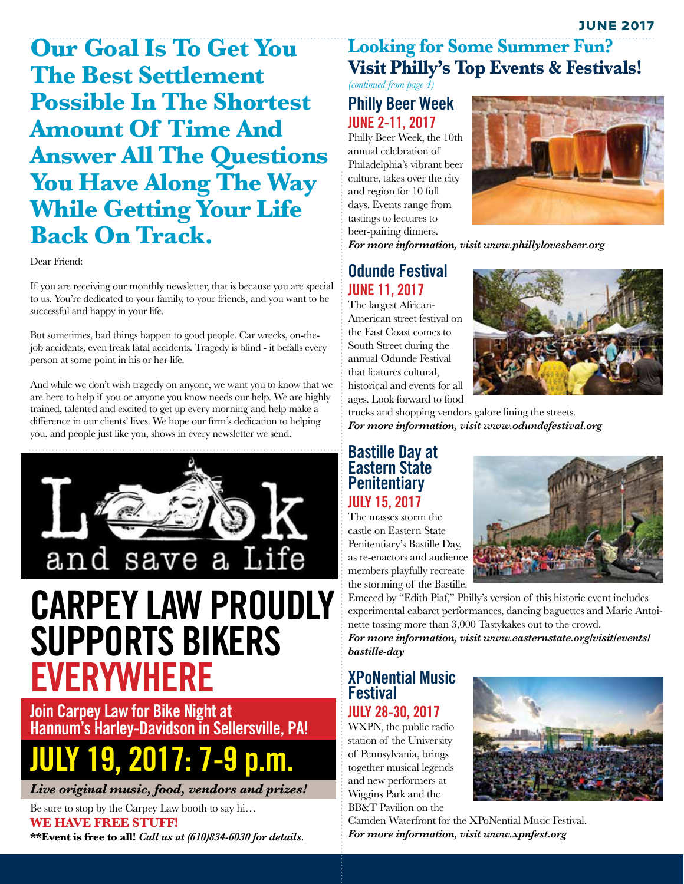**Our Goal Is To Get You The Best Settlement Possible In The Shortest Amount Of Time And Answer All The Questions You Have Along The Way While Getting Your Life Back On Track.**

Dear Friend:

If you are receiving our monthly newsletter, that is because you are special to us. You're dedicated to your family, to your friends, and you want to be successful and happy in your life.

But sometimes, bad things happen to good people. Car wrecks, on-thejob accidents, even freak fatal accidents. Tragedy is blind - it befalls every person at some point in his or her life.

And while we don't wish tragedy on anyone, we want you to know that we are here to help if you or anyone you know needs our help. We are highly trained, talented and excited to get up every morning and help make a difference in our clients' lives. We hope our firm's dedication to helping you, and people just like you, shows in every newsletter we send.



## **CARPEY LAW PROUDLY SUPPORTS BIKERS EVERYWHERE**

**Join Carpey Law for Bike Night at Hannum's Harley-Davidson in Sellersville, PA!**

# **JULY 19, 2017: 7-9 p.m.**

*Live original music, food, vendors and prizes!* 

Be sure to stop by the Carpey Law booth to say hi… **WE HAVE FREE STUFF! \*\*Event is free to all!** *Call us at (610)834-6030 for details.* 

### **Looking for Some Summer Fun? Visit Philly's Top Events & Festivals!**

*(continued from page 4)* **Philly Beer Week**

## **JUNE 2-11, 2017**

Philly Beer Week, the 10th annual celebration of Philadelphia's vibrant beer culture, takes over the city and region for 10 full days. Events range from tastings to lectures to beer-pairing dinners.



*For more information, visit www.phillylovesbeer.org*

### **Odunde Festival JUNE 11, 2017**

The largest African-American street festival on the East Coast comes to South Street during the annual Odunde Festival that features cultural, historical and events for all ages. Look forward to food



trucks and shopping vendors galore lining the streets. *For more information, visit www.odundefestival.org*

#### **Bastille Day at Eastern State Penitentiary JULY 15, 2017**

The masses storm the castle on Eastern State Penitentiary's Bastille Day, as re-enactors and audience members playfully recreate the storming of the Bastille.



Emceed by "Edith Piaf," Philly's version of this historic event includes experimental cabaret performances, dancing baguettes and Marie Antoinette tossing more than 3,000 Tastykakes out to the crowd.

*For more information, visit www.easternstate.org/visit/events/ bastille-day*

### **XPoNential Music Festival**

**JULY 28-30, 2017** WXPN, the public radio station of the University

of Pennsylvania, brings together musical legends and new performers at Wiggins Park and the BB&T Pavilion on the



Camden Waterfront for the XPoNential Music Festival. *For more information, visit www.xpnfest.org*